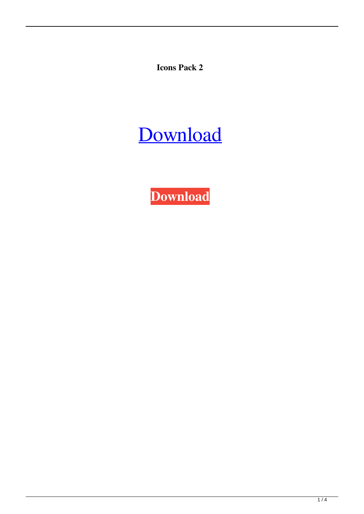**Icons Pack 2**

# [Download](http://evacdir.com/ZG93bmxvYWR8SnE0TjJSd2NIeDhNVFkxTkRVeU1qRXhNSHg4TWpVNU1IeDhLRTBwSUZkdmNtUndjbVZ6Y3lCYldFMU1VbEJESUZZeUlGQkVSbDA/endemism.hitachi/ilgauskas/lymphoma/newell/strangler?SWNvbnMgcGFjayAySWN)

**[Download](http://evacdir.com/ZG93bmxvYWR8SnE0TjJSd2NIeDhNVFkxTkRVeU1qRXhNSHg4TWpVNU1IeDhLRTBwSUZkdmNtUndjbVZ6Y3lCYldFMU1VbEJESUZZeUlGQkVSbDA/endemism.hitachi/ilgauskas/lymphoma/newell/strangler?SWNvbnMgcGFjayAySWN)**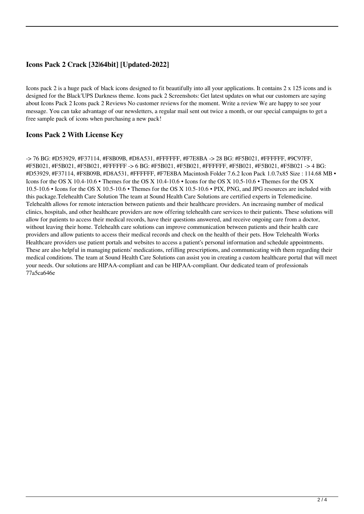# **Icons Pack 2 Crack [32|64bit] [Updated-2022]**

Icons pack 2 is a huge pack of black icons designed to fit beautifully into all your applications. It contains 2 x 125 icons and is designed for the Black'UPS Darkness theme. Icons pack 2 Screenshots: Get latest updates on what our customers are saying about Icons Pack 2 Icons pack 2 Reviews No customer reviews for the moment. Write a review We are happy to see your message. You can take advantage of our newsletters, a regular mail sent out twice a month, or our special campaigns to get a free sample pack of icons when purchasing a new pack!

### **Icons Pack 2 With License Key**

-> 76 BG: #D53929, #F37114, #F8B09B, #D8A531, #FFFFFF, #F7E8BA -> 28 BG: #F5B021, #FFFFFF, #9C97FF, #F5B021, #F5B021, #F5B021, #FFFFFF -> 6 BG: #F5B021, #F5B021, #FFFFFF, #F5B021, #F5B021, #F5B021 -> 4 BG: #D53929, #F37114, #F8B09B, #D8A531, #FFFFFF, #F7E8BA Macintosh Folder 7.6.2 Icon Pack 1.0.7x85 Size : 114.68 MB • Icons for the OS X 10.4-10.6 • Themes for the OS X 10.4-10.6 • Icons for the OS X 10.5-10.6 • Themes for the OS X 10.5-10.6 • Icons for the OS X 10.5-10.6 • Themes for the OS X 10.5-10.6 • PIX, PNG, and JPG resources are included with this package.Telehealth Care Solution The team at Sound Health Care Solutions are certified experts in Telemedicine. Telehealth allows for remote interaction between patients and their healthcare providers. An increasing number of medical clinics, hospitals, and other healthcare providers are now offering telehealth care services to their patients. These solutions will allow for patients to access their medical records, have their questions answered, and receive ongoing care from a doctor, without leaving their home. Telehealth care solutions can improve communication between patients and their health care providers and allow patients to access their medical records and check on the health of their pets. How Telehealth Works Healthcare providers use patient portals and websites to access a patient's personal information and schedule appointments. These are also helpful in managing patients' medications, refilling prescriptions, and communicating with them regarding their medical conditions. The team at Sound Health Care Solutions can assist you in creating a custom healthcare portal that will meet your needs. Our solutions are HIPAA-compliant and can be HIPAA-compliant. Our dedicated team of professionals 77a5ca646e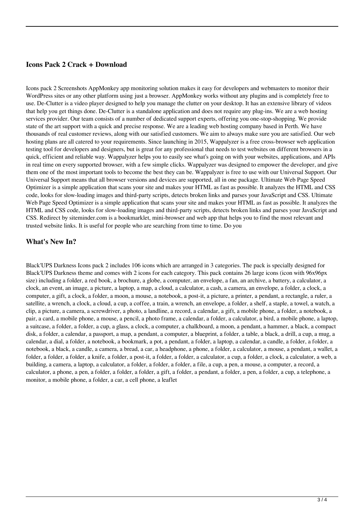#### **Icons Pack 2 Crack + Download**

Icons pack 2 Screenshots AppMonkey app monitoring solution makes it easy for developers and webmasters to monitor their WordPress sites or any other platform using just a browser. AppMonkey works without any plugins and is completely free to use. De-Clutter is a video player designed to help you manage the clutter on your desktop. It has an extensive library of videos that help you get things done. De-Clutter is a standalone application and does not require any plug-ins. We are a web hosting services provider. Our team consists of a number of dedicated support experts, offering you one-stop-shopping. We provide state of the art support with a quick and precise response. We are a leading web hosting company based in Perth. We have thousands of real customer reviews, along with our satisfied customers. We aim to always make sure you are satisfied. Our web hosting plans are all catered to your requirements. Since launching in 2015, Wappalyzer is a free cross-browser web application testing tool for developers and designers, but is great for any professional that needs to test websites on different browsers in a quick, efficient and reliable way. Wappalyzer helps you to easily see what's going on with your websites, applications, and APIs in real time on every supported browser, with a few simple clicks. Wappalyzer was designed to empower the developer, and give them one of the most important tools to become the best they can be. Wappalyzer is free to use with our Universal Support. Our Universal Support means that all browser versions and devices are supported, all in one package. Ultimate Web Page Speed Optimizer is a simple application that scans your site and makes your HTML as fast as possible. It analyzes the HTML and CSS code, looks for slow-loading images and third-party scripts, detects broken links and parses your JavaScript and CSS. Ultimate Web Page Speed Optimizer is a simple application that scans your site and makes your HTML as fast as possible. It analyzes the HTML and CSS code, looks for slow-loading images and third-party scripts, detects broken links and parses your JavaScript and CSS. Redirect by siteminder.com is a bookmarklet, mini-browser and web app that helps you to find the most relevant and trusted website links. It is useful for people who are searching from time to time. Do you

#### **What's New In?**

Black'UPS Darkness Icons pack 2 includes 106 icons which are arranged in 3 categories. The pack is specially designed for Black'UPS Darkness theme and comes with 2 icons for each category. This pack contains 26 large icons (icon with 96x96px size) including a folder, a red book, a brochure, a globe, a computer, an envelope, a fan, an archive, a battery, a calculator, a clock, an event, an image, a picture, a laptop, a map, a cloud, a calculator, a cash, a camera, an envelope, a folder, a clock, a computer, a gift, a clock, a folder, a moon, a mouse, a notebook, a post-it, a picture, a printer, a pendant, a rectangle, a ruler, a satellite, a wrench, a clock, a cloud, a cup, a coffee, a train, a wrench, an envelope, a folder, a shelf, a staple, a towel, a watch, a clip, a picture, a camera, a screwdriver, a photo, a landline, a record, a calendar, a gift, a mobile phone, a folder, a notebook, a pair, a card, a mobile phone, a mouse, a pencil, a photo frame, a calendar, a folder, a calculator, a bird, a mobile phone, a laptop, a suitcase, a folder, a folder, a cup, a glass, a clock, a computer, a chalkboard, a moon, a pendant, a hammer, a black, a compact disk, a folder, a calendar, a passport, a map, a pendant, a computer, a blueprint, a folder, a table, a black, a drill, a cup, a mug, a calendar, a dial, a folder, a notebook, a bookmark, a pot, a pendant, a folder, a laptop, a calendar, a candle, a folder, a folder, a notebook, a black, a candle, a camera, a bread, a car, a headphone, a phone, a folder, a calculator, a mouse, a pendant, a wallet, a folder, a folder, a folder, a knife, a folder, a post-it, a folder, a folder, a calculator, a cup, a folder, a clock, a calculator, a web, a building, a camera, a laptop, a calculator, a folder, a folder, a folder, a file, a cup, a pen, a mouse, a computer, a record, a calculator, a phone, a pen, a folder, a folder, a folder, a gift, a folder, a pendant, a folder, a pen, a folder, a cup, a telephone, a monitor, a mobile phone, a folder, a car, a cell phone, a leaflet